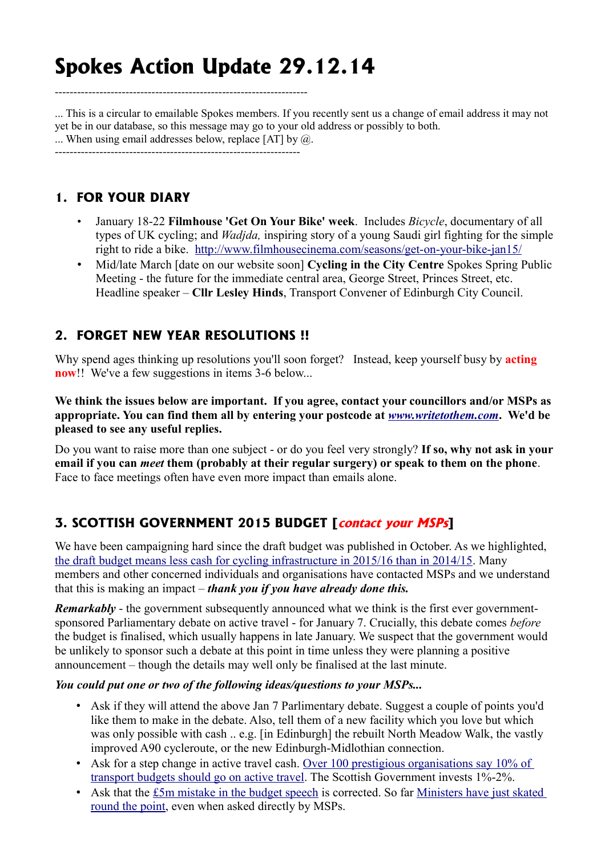# **Spokes Action Update 29.12.14**

--------------------------------------------------------------------

... This is a circular to emailable Spokes members. If you recently sent us a change of email address it may not yet be in our database, so this message may go to your old address or possibly to both. ... When using email addresses below, replace [AT] by @. ------------------------------------------------------------------

### **1. FOR YOUR DIARY**

- January 18-22 **Filmhouse 'Get On Your Bike' week**. Includes *Bicycle*, documentary of all types of UK cycling; and *Wadjda,* inspiring story of a young Saudi girl fighting for the simple right to ride a bike. <http://www.filmhousecinema.com/seasons/get-on-your-bike-jan15/>
- Mid/late March [date on our website soon] **Cycling in the City Centre** Spokes Spring Public Meeting - the future for the immediate central area, George Street, Princes Street, etc. Headline speaker – **Cllr Lesley Hinds**, Transport Convener of Edinburgh City Council.

## **2. FORGET NEW YEAR RESOLUTIONS !!**

Why spend ages thinking up resolutions you'll soon forget? Instead, keep yourself busy by **acting now**!! We've a few suggestions in items 3-6 below...

**We think the issues below are important. If you agree, contact your councillors and/or MSPs as appropriate. You can find them all by entering your postcode at** *[www.writetothem.com](http://www.writetothem.com/)***. We'd be pleased to see any useful replies.**

Do you want to raise more than one subject - or do you feel very strongly? **If so, why not ask in your email if you can** *meet* **them (probably at their regular surgery) or speak to them on the phone**. Face to face meetings often have even more impact than emails alone.

# **3. SCOTTISH GOVERNMENT 2015 BUDGET [contact your MSPs]**

We have been campaigning hard since the draft budget was published in October. As we highlighted, [the draft budget means less cash for cycling infrastructure in 2015/16 than in 2014/15.](http://www.spokes.org.uk/wordpress/wp-content/uploads/2009/09/B120pall.reduced.pdf) Many members and other concerned individuals and organisations have contacted MSPs and we understand that this is making an impact – *thank you if you have already done this.*

*Remarkably* - the government subsequently announced what we think is the first ever governmentsponsored Parliamentary debate on active travel - for January 7. Crucially, this debate comes *before* the budget is finalised, which usually happens in late January. We suspect that the government would be unlikely to sponsor such a debate at this point in time unless they were planning a positive announcement – though the details may well only be finalised at the last minute.

#### *You could put one or two of the following ideas/questions to your MSPs...*

- Ask if they will attend the above Jan 7 Parlimentary debate. Suggest a couple of points you'd like them to make in the debate. Also, tell them of a new facility which you love but which was only possible with cash .. e.g. [in Edinburgh] the rebuilt North Meadow Walk, the vastly improved A90 cycleroute, or the new Edinburgh-Midlothian connection.
- Ask for a step change in active travel cash. Over 100 prestigious organisations say 10% of [transport budgets should go on active travel.](http://www.adph.org.uk/2012/01/action-on-active-travel-2012-update/) The Scottish Government invests 1%-2%.
- Ask that the [£5m mistake in the budget speech](http://www.spokes.org.uk/wordpress/2014/11/5m-budget-speech-error/) is corrected. So far Ministers have just skated [round the point,](http://www.spokes.org.uk/wordpress/2014/12/new-transport-minister-goes-skating/) even when asked directly by MSPs.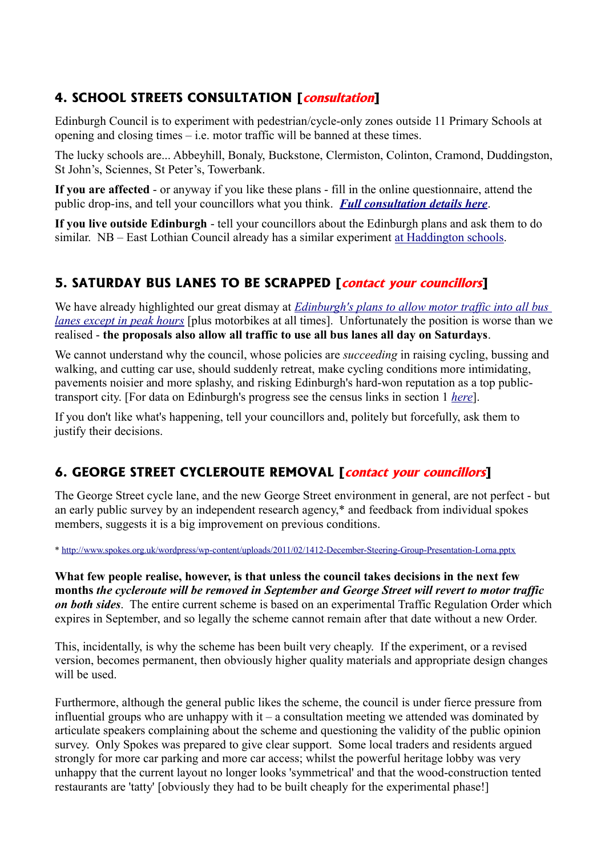# **4. SCHOOL STREETS CONSULTATION [consultation]**

Edinburgh Council is to experiment with pedestrian/cycle-only zones outside 11 Primary Schools at opening and closing times – i.e. motor traffic will be banned at these times.

The lucky schools are... Abbeyhill, Bonaly, Buckstone, Clermiston, Colinton, Cramond, Duddingston, St John's, Sciennes, St Peter's, Towerbank.

**If you are affected** - or anyway if you like these plans - fill in the online questionnaire, attend the public drop-ins, and tell your councillors what you think. *[Full consultation details here](http://www.spokes.org.uk/wordpress/2014/12/santa-visits-11-schools/)*.

**If you live outside Edinburgh** - tell your councillors about the Edinburgh plans and ask them to do similar. NB – East Lothian Council already has a similar experiment [at Haddington schools.](http://www.eastlothian.gov.uk/news/article/1556/new_traffic_restrictions_to_begin_in_haddington)

## **5. SATURDAY BUS LANES TO BE SCRAPPED [contact your councillors]**

We have already highlighted our great dismay at *[Edinburgh's plans to allow motor traffic into all bus](http://www.spokes.org.uk/wordpress/2014/08/bus-lane-retreat/)  [lanes except in peak hours](http://www.spokes.org.uk/wordpress/2014/08/bus-lane-retreat/)* [plus motorbikes at all times]. Unfortunately the position is worse than we realised - **the proposals also allow all traffic to use all bus lanes all day on Saturdays**.

We cannot understand why the council, whose policies are *succeeding* in raising cycling, bussing and walking, and cutting car use, should suddenly retreat, make cycling conditions more intimidating, pavements noisier and more splashy, and risking Edinburgh's hard-won reputation as a top publictransport city. [For data on Edinburgh's progress see the census links in section 1 *[here](http://www.spokes.org.uk/wordpress/2014/01/edinburgh-local-transport-strategy-2014-19/)*].

If you don't like what's happening, tell your councillors and, politely but forcefully, ask them to justify their decisions.

## **6. GEORGE STREET CYCLEROUTE REMOVAL [contact your councillors]**

The George Street cycle lane, and the new George Street environment in general, are not perfect - but an early public survey by an independent research agency,\* and feedback from individual spokes members, suggests it is a big improvement on previous conditions.

\*<http://www.spokes.org.uk/wordpress/wp-content/uploads/2011/02/1412-December-Steering-Group-Presentation-Lorna.pptx>

**What few people realise, however, is that unless the council takes decisions in the next few months** *the cycleroute will be removed in September and George Street will revert to motor traffic on both sides*. The entire current scheme is based on an experimental Traffic Regulation Order which expires in September, and so legally the scheme cannot remain after that date without a new Order.

This, incidentally, is why the scheme has been built very cheaply. If the experiment, or a revised version, becomes permanent, then obviously higher quality materials and appropriate design changes will be used.

Furthermore, although the general public likes the scheme, the council is under fierce pressure from influential groups who are unhappy with it – a consultation meeting we attended was dominated by articulate speakers complaining about the scheme and questioning the validity of the public opinion survey. Only Spokes was prepared to give clear support. Some local traders and residents argued strongly for more car parking and more car access; whilst the powerful heritage lobby was very unhappy that the current layout no longer looks 'symmetrical' and that the wood-construction tented restaurants are 'tatty' [obviously they had to be built cheaply for the experimental phase!]